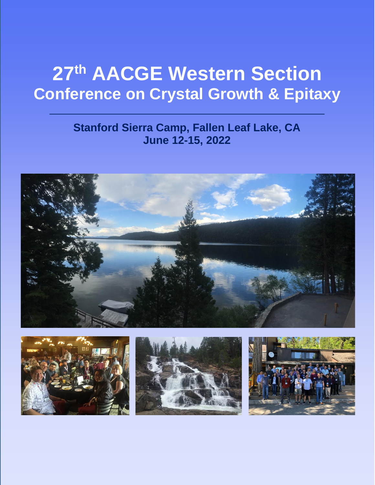# **27th AACGE Western Section Conference on Crystal Growth & Epitaxy**

### **Stanford Sierra Camp, Fallen Leaf Lake, CA June 12-15, 2022**







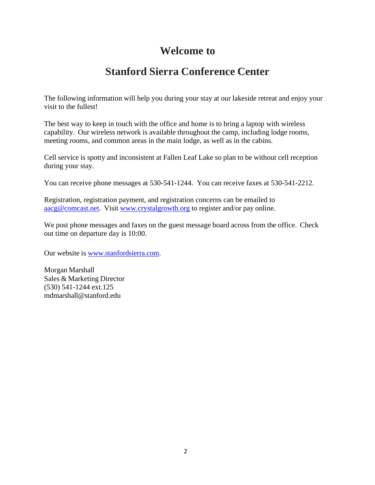### **Welcome to**

### **Stanford Sierra Conference Center**

The following information will help you during your stay at our lakeside retreat and enjoy your visit to the fullest!

The best way to keep in touch with the office and home is to bring a laptop with wireless capability. Our wireless network is available throughout the camp, including lodge rooms, meeting rooms, and common areas in the main lodge, as well as in the cabins.

Cell service is spotty and inconsistent at Fallen Leaf Lake so plan to be without cell reception during your stay.

You can receive phone messages at 530-541-1244. You can receive faxes at 530-541-2212.

Registration, registration payment, and registration concerns can be emailed to [aacg@comcast.net.](mailto:aacg@comcast.net) Visit [www.crystalgrowth.org](http://www.crystalgrowth.org/) to register and/or pay online.

We post phone messages and faxes on the guest message board across from the office. Check out time on departure day is 10:00.

Our website is [www.stanfordsierra.com.](http://www.stanfordsierra.com/)

Morgan Marshall Sales & Marketing Director (530) 541-1244 ext.125 [mdmarshall@stanford.edu](mailto:mdmarshall@stanford.edu)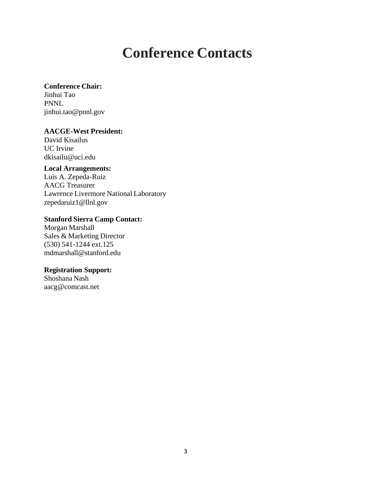## **Conference Contacts**

#### **Conference Chair:**

Jinhui Tao PNNL jinhui.tao@pnnl.gov

**AACGE-West President:** David Kisailus UC Irvine [dkisailu@uci.edu](mailto:dkisailu@uci.edu)

### **Local Arrangements:**

Luis A. Zepeda-Ruiz AACG Treasurer Lawrence Livermore National Laboratory [zepedaruiz1@llnl.gov](mailto:zepedaruiz1@llnl.gov)

### **Stanford Sierra Camp Contact:**

Morgan Marshall Sales & Marketing Director (530) 541-1244 ext.125 [mdmarshall@stanford.edu](mailto:mdmarshall@stanford.edu)

### **Registration Support:**

Shoshana Nash [aacg@comcast.net](mailto:aacg@comcast.net)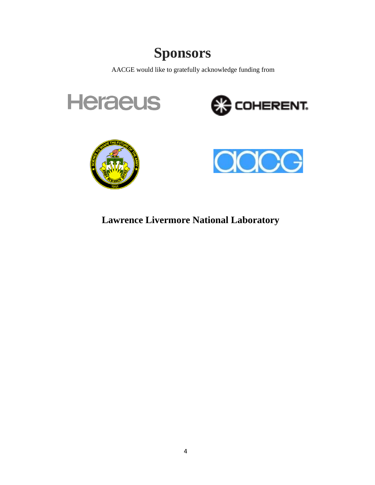## **Sponsors**

AACGE would like to gratefully acknowledge funding from









**Lawrence Livermore National Laboratory**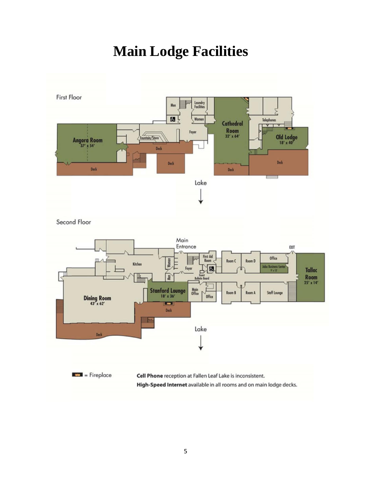## **Main Lodge Facilities**

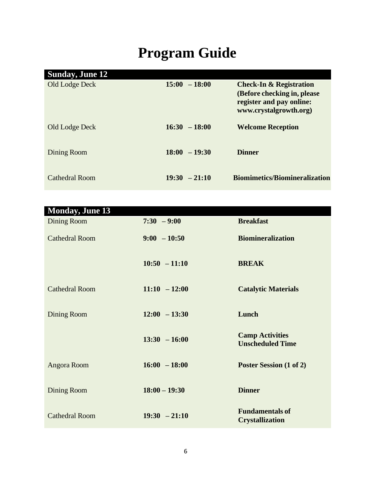# **Program Guide**

| <b>Sunday, June 12</b> |                 |                                                                                                                         |
|------------------------|-----------------|-------------------------------------------------------------------------------------------------------------------------|
| Old Lodge Deck         | $15:00 - 18:00$ | <b>Check-In &amp; Registration</b><br>(Before checking in, please<br>register and pay online:<br>www.crystalgrowth.org) |
| Old Lodge Deck         | $16:30 - 18:00$ | <b>Welcome Reception</b>                                                                                                |
| Dining Room            | $18:00 - 19:30$ | <b>Dinner</b>                                                                                                           |
| Cathedral Room         | $19:30 - 21:10$ | <b>Biomimetics/Biomineralization</b>                                                                                    |

| <b>Monday, June 13</b> |                 |                                                   |
|------------------------|-----------------|---------------------------------------------------|
| <b>Dining Room</b>     | $7:30 - 9:00$   | <b>Breakfast</b>                                  |
| <b>Cathedral Room</b>  | $9:00 - 10:50$  | <b>Biomineralization</b>                          |
|                        | $10:50 - 11:10$ | <b>BREAK</b>                                      |
| <b>Cathedral Room</b>  | $11:10 - 12:00$ | <b>Catalytic Materials</b>                        |
| Dining Room            | $12:00 - 13:30$ | Lunch                                             |
|                        | $13:30 - 16:00$ | <b>Camp Activities</b><br><b>Unscheduled Time</b> |
| Angora Room            | $16:00 - 18:00$ | Poster Session (1 of 2)                           |
| Dining Room            | $18:00 - 19:30$ | <b>Dinner</b>                                     |
| <b>Cathedral Room</b>  | $19:30 - 21:10$ | <b>Fundamentals of</b><br><b>Crystallization</b>  |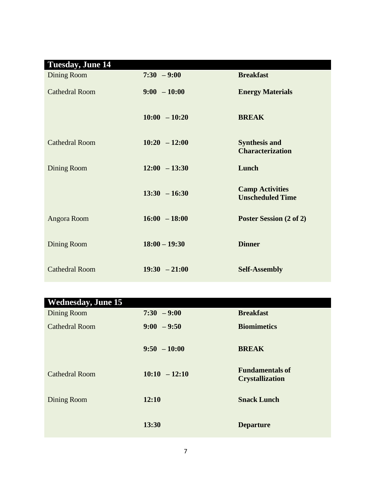| <b>Tuesday, June 14</b> |                 |                                                   |
|-------------------------|-----------------|---------------------------------------------------|
| Dining Room             | $7:30 - 9:00$   | <b>Breakfast</b>                                  |
| <b>Cathedral Room</b>   | $9:00 - 10:00$  | <b>Energy Materials</b>                           |
|                         | $10:00 - 10:20$ | <b>BREAK</b>                                      |
| <b>Cathedral Room</b>   | $10:20 - 12:00$ | <b>Synthesis and</b><br><b>Characterization</b>   |
| Dining Room             | $12:00 - 13:30$ | Lunch                                             |
|                         | $13:30 - 16:30$ | <b>Camp Activities</b><br><b>Unscheduled Time</b> |
| Angora Room             | $16:00 - 18:00$ | Poster Session (2 of 2)                           |
| Dining Room             | $18:00 - 19:30$ | <b>Dinner</b>                                     |
| <b>Cathedral Room</b>   | $19:30 - 21:00$ | <b>Self-Assembly</b>                              |

| <b>Wednesday, June 15</b> |                 |                                                  |
|---------------------------|-----------------|--------------------------------------------------|
| Dining Room               | $7:30 - 9:00$   | <b>Breakfast</b>                                 |
| <b>Cathedral Room</b>     | $9:00 - 9:50$   | <b>Biomimetics</b>                               |
|                           | $9:50 - 10:00$  | <b>BREAK</b>                                     |
| <b>Cathedral Room</b>     | $10:10 - 12:10$ | <b>Fundamentals of</b><br><b>Crystallization</b> |
| Dining Room               | 12:10           | <b>Snack Lunch</b>                               |
|                           | 13:30           | <b>Departure</b>                                 |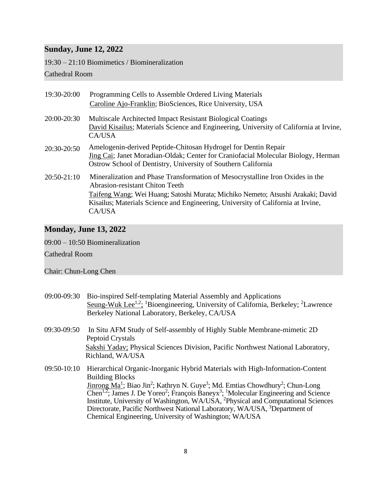### **Sunday, June 12, 2022**

19:30 – 21:10 Biomimetics / Biomineralization

### Cathedral Room

| 19:30-20:00   | Programming Cells to Assemble Ordered Living Materials<br>Caroline Ajo-Franklin; BioSciences, Rice University, USA                                                                                                   |
|---------------|----------------------------------------------------------------------------------------------------------------------------------------------------------------------------------------------------------------------|
| 20:00-20:30   | Multiscale Architected Impact Resistant Biological Coatings<br>David Kisailus; Materials Science and Engineering, University of California at Irvine,<br>CA/USA                                                      |
| 20:30-20:50   | Amelogenin-derived Peptide-Chitosan Hydrogel for Dentin Repair<br>Jing Cai; Janet Moradian-Oldak; Center for Craniofacial Molecular Biology, Herman<br>Ostrow School of Dentistry, University of Southern California |
| $20:50-21:10$ | Mineralization and Phase Transformation of Mesocrystalline Iron Oxides in the<br><b>Abrasion-resistant Chiton Teeth</b>                                                                                              |
|               | Taifeng Wang; Wei Huang; Satoshi Murata; Michiko Nemeto; Atsushi Arakaki; David<br>Kisailus; Materials Science and Engineering, University of California at Irvine,<br>CA/USA                                        |

### **Monday, June 13, 2022**

09:00 – 10:50 Biomineralization

Cathedral Room

Chair: Chun-Long Chen

- 09:00-09:30 Bio-inspired Self-templating Material Assembly and Applications Seung-Wuk Lee<sup>1,2</sup>; <sup>1</sup>Bioengineering, University of California, Berkeley; <sup>2</sup>Lawrence Berkeley National Laboratory, Berkeley, CA/USA
- 09:30-09:50 In Situ AFM Study of Self-assembly of Highly Stable Membrane-mimetic 2D Peptoid Crystals Sakshi Yadav; Physical Sciences Division, Pacific Northwest National Laboratory, Richland, WA/USA
- 09:50-10:10 Hierarchical Organic-Inorganic Hybrid Materials with High-Information-Content Building Blocks Jinrong Ma<sup>1</sup>; Biao Jin<sup>2</sup>; Kathryn N. Guye<sup>3</sup>; Md. Emtias Chowdhury<sup>2</sup>; Chun-Long Chen<sup>1,2</sup>; James J. De Yoreo<sup>2</sup>; François Baneyx<sup>3</sup>; <sup>1</sup>Molecular Engineering and Science Institute, University of Washington, WA/USA, <sup>2</sup>Physical and Computational Sciences Directorate, Pacific Northwest National Laboratory, WA/USA, <sup>3</sup>Department of Chemical Engineering, University of Washington; WA/USA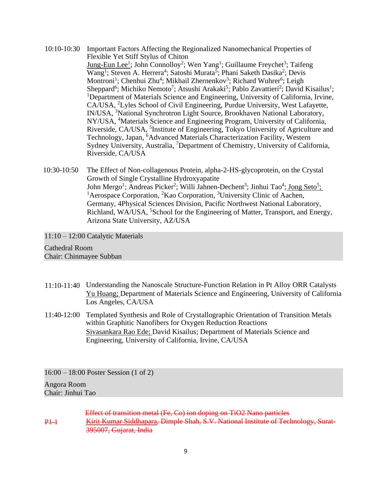- 10:10-10:30 Important Factors Affecting the Regionalized Nanomechanical Properties of Flexible Yet Stiff Stylus of Chiton Jung-Eun Lee<sup>1</sup>; John Connolloy<sup>2</sup>; Wen Yang<sup>1</sup>; Guillaume Freychet<sup>3</sup>; Taifeng Wang<sup>1</sup>; Steven A. Herrera<sup>4</sup>; Satoshi Murata<sup>5</sup>; Phani Saketh Dasika<sup>2</sup>; Devis Montroni<sup>1</sup>; Chenhui Zhu<sup>4</sup>; Mikhail Zhernenkov<sup>3</sup>; Richard Wuhrer<sup>6</sup>; Leigh Sheppard<sup>6</sup>; Michiko Nemoto<sup>7</sup>; Atsushi Arakaki<sup>5</sup>; Pablo Zavattieri<sup>2</sup>; David Kisailus<sup>1</sup>; <sup>1</sup>Department of Materials Science and Engineering, University of California, Irvine, CA/USA, <sup>2</sup>Lyles School of Civil Engineering, Purdue University, West Lafayette, IN/USA, <sup>3</sup>National Synchrotron Light Source, Brookhaven National Laboratory, NY/USA, <sup>4</sup>Materials Science and Engineering Program, University of California, Riverside, CA/USA, <sup>5</sup>Institute of Engineering, Tokyo University of Agriculture and Technology, Japan, <sup>6</sup>Advanced Materials Characterization Facility, Western Sydney University, Australia, <sup>7</sup>Department of Chemistry, University of California, Riverside, CA/USA
- 10:30-10:50 The Effect of Non-collagenous Protein, alpha-2-HS-glycoprotein, on the Crystal Growth of Single Crystalline Hydroxyapatite John Mergo<sup>1</sup>; Andreas Picker<sup>2</sup>; Willi Jahnen-Dechent<sup>3</sup>; Jinhui Tao<sup>4</sup>; Jong Seto<sup>5</sup>; <sup>1</sup> Aerospace Corporation, <sup>2</sup> Kao Corporation, <sup>3</sup> University Clinic of Aachen, Germany, 4Physical Sciences Division, Pacific Northwest National Laboratory, Richland, WA/USA, <sup>5</sup>School for the Engineering of Matter, Transport, and Energy, Arizona State University, AZ/USA

11:10 – 12:00 Catalytic Materials

Cathedral Room Chair: Chinmayee Subban

- 11:10-11:40 Understanding the Nanoscale Structure-Function Relation in Pt Alloy ORR Catalysts Yu Huang; Department of Materials Science and Engineering, University of California Los Angeles, CA/USA
- 11:40-12:00 Templated Synthesis and Role of Crystallographic Orientation of Transition Metals within Graphitic Nanofibers for Oxygen Reduction Reactions Sivasankara Rao Ede; David Kisailus; Department of Materials Science and Engineering, University of California, Irvine, CA/USA

16:00 – 18:00 Poster Session (1 of 2) Angora Room Chair: Jinhui Tao

 $P+1$ Effect of transition metal (Fe, Co) ion doping on TiO2 Nano particles Kirit Kumar Siddhapara, Dimple Shah, S.V. National Institute of Technology, Surat-395007, Gujarat, India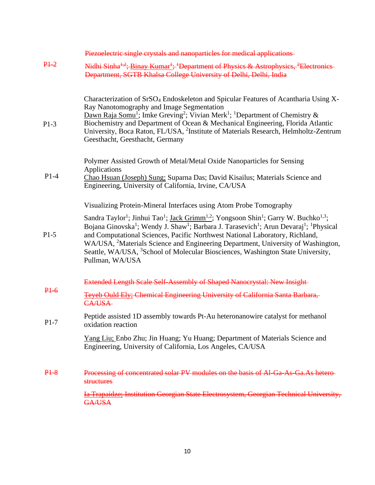|        | Piezoelectric single crystals and nanoparticles for medical applications-                                                                                                                                                                                                                                                                                                                                                                                                                                                                                                                                                                                                            |
|--------|--------------------------------------------------------------------------------------------------------------------------------------------------------------------------------------------------------------------------------------------------------------------------------------------------------------------------------------------------------------------------------------------------------------------------------------------------------------------------------------------------------------------------------------------------------------------------------------------------------------------------------------------------------------------------------------|
| $P1-2$ | Nidhi Sinha <sup>1,2</sup> ; Binay Kumar <sup>1</sup> ; <sup>1</sup> Department of Physics & Astrophysics, <sup>2</sup> Electronics<br>Department, SGTB Khalsa College University of Delhi, Delhi, India                                                                                                                                                                                                                                                                                                                                                                                                                                                                             |
| $P1-3$ | Characterization of SrSO <sub>4</sub> Endoskeleton and Spicular Features of Acantharia Using X-<br>Ray Nanotomography and Image Segmentation<br><b>Dawn Raja Somu<sup>1</sup></b> ; Imke Greving <sup>2</sup> ; Vivian Merk <sup>1</sup> ; <sup>1</sup> Department of Chemistry &<br>Biochemistry and Department of Ocean & Mechanical Engineering, Florida Atlantic<br>University, Boca Raton, FL/USA, <sup>2</sup> Institute of Materials Research, Helmholtz-Zentrum<br>Geesthacht, Geesthacht, Germany                                                                                                                                                                           |
| $P1-4$ | Polymer Assisted Growth of Metal/Metal Oxide Nanoparticles for Sensing<br>Applications<br>Chao Hsuan (Joseph) Sung; Suparna Das; David Kisailus; Materials Science and<br>Engineering, University of California, Irvine, CA/USA                                                                                                                                                                                                                                                                                                                                                                                                                                                      |
| $P1-5$ | Visualizing Protein-Mineral Interfaces using Atom Probe Tomography<br>Sandra Taylor <sup>1</sup> ; Jinhui Tao <sup>1</sup> ; <u>Jack Grimm<sup>1,2</sup></u> ; Yongsoon Shin <sup>1</sup> ; Garry W. Buchko <sup>1,3</sup> ;<br>Bojana Ginovska <sup>1</sup> ; Wendy J. Shaw <sup>1</sup> ; Barbara J. Tarasevich <sup>1</sup> ; Arun Devaraj <sup>1</sup> ; <sup>1</sup> Physical<br>and Computational Sciences, Pacific Northwest National Laboratory, Richland,<br>WA/USA, <sup>2</sup> Materials Science and Engineering Department, University of Washington,<br>Seattle, WA/USA, <sup>3</sup> School of Molecular Biosciences, Washington State University,<br>Pullman, WA/USA |
| $P1-6$ | Extended Length Scale Self-Assembly of Shaped Nanocrystal: New Insight-<br>Teyeb Ould Ely: Chemical Engineering University of California Santa Barbara,<br>CA/USA-                                                                                                                                                                                                                                                                                                                                                                                                                                                                                                                   |
| $P1-7$ | Peptide assisted 1D assembly towards Pt-Au heteronanowire catalyst for methanol<br>oxidation reaction                                                                                                                                                                                                                                                                                                                                                                                                                                                                                                                                                                                |
|        | Yang Liu; Enbo Zhu; Jin Huang; Yu Huang; Department of Materials Science and<br>Engineering, University of California, Los Angeles, CA/USA                                                                                                                                                                                                                                                                                                                                                                                                                                                                                                                                           |
| $P1-8$ | Processing of concentrated solar PV modules on the basis of Al Ga As Ga.As hetero-<br>structures                                                                                                                                                                                                                                                                                                                                                                                                                                                                                                                                                                                     |
|        | <b>Ia Trapaidze: Institution Georgian State Electrosystem, Georgian Technical University,</b><br>GA/USA                                                                                                                                                                                                                                                                                                                                                                                                                                                                                                                                                                              |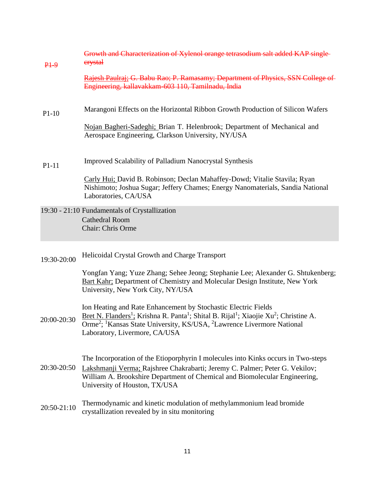| $P1-9$      | Growth and Characterization of Xylenol orange tetrasodium salt added KAP single-<br>erystal                                                                                                                                                                                                                                                            |
|-------------|--------------------------------------------------------------------------------------------------------------------------------------------------------------------------------------------------------------------------------------------------------------------------------------------------------------------------------------------------------|
|             | Rajesh Paulraj; G. Babu Rao; P. Ramasamy; Department of Physics, SSN College of<br>Engineering, kallavakkam-603 110, Tamilnadu, India                                                                                                                                                                                                                  |
| $P1-10$     | Marangoni Effects on the Horizontal Ribbon Growth Production of Silicon Wafers                                                                                                                                                                                                                                                                         |
|             | Nojan Bagheri-Sadeghi; Brian T. Helenbrook; Department of Mechanical and<br>Aerospace Engineering, Clarkson University, NY/USA                                                                                                                                                                                                                         |
| $P1-11$     | <b>Improved Scalability of Palladium Nanocrystal Synthesis</b>                                                                                                                                                                                                                                                                                         |
|             | Carly Hui; David B. Robinson; Declan Mahaffey-Dowd; Vitalie Stavila; Ryan<br>Nishimoto; Joshua Sugar; Jeffery Chames; Energy Nanomaterials, Sandia National<br>Laboratories, CA/USA                                                                                                                                                                    |
|             | 19:30 - 21:10 Fundamentals of Crystallization<br><b>Cathedral Room</b><br>Chair: Chris Orme                                                                                                                                                                                                                                                            |
| 19:30-20:00 | Helicoidal Crystal Growth and Charge Transport                                                                                                                                                                                                                                                                                                         |
|             | Yongfan Yang; Yuze Zhang; Sehee Jeong; Stephanie Lee; Alexander G. Shtukenberg;<br><b>Bart Kahr</b> ; Department of Chemistry and Molecular Design Institute, New York<br>University, New York City, NY/USA                                                                                                                                            |
| 20:00-20:30 | Ion Heating and Rate Enhancement by Stochastic Electric Fields<br>Bret N. Flanders <sup>1</sup> ; Krishna R. Panta <sup>1</sup> ; Shital B. Rijal <sup>1</sup> ; Xiaojie Xu <sup>2</sup> ; Christine A.<br>Orme <sup>2</sup> ; <sup>1</sup> Kansas State University, KS/USA, <sup>2</sup> Lawrence Livermore National<br>Laboratory, Livermore, CA/USA |
| 20:30-20:50 | The Incorporation of the Etioporphyrin I molecules into Kinks occurs in Two-steps<br>Lakshmanji Verma; Rajshree Chakrabarti; Jeremy C. Palmer; Peter G. Vekilov;<br>William A. Brookshire Department of Chemical and Biomolecular Engineering,<br>University of Houston, TX/USA                                                                        |
| 20:50-21:10 | Thermodynamic and kinetic modulation of methylammonium lead bromide<br>crystallization revealed by in situ monitoring                                                                                                                                                                                                                                  |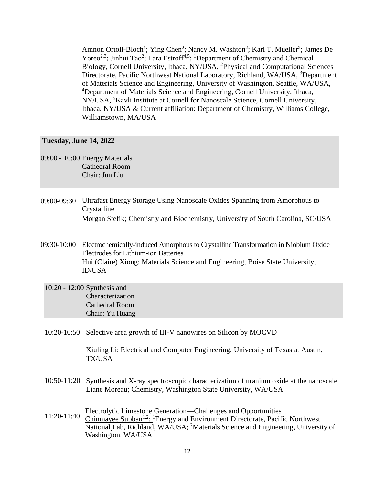Amnon Ortoll-Bloch<sup>1</sup>; Ying Chen<sup>2</sup>; Nancy M. Washton<sup>2</sup>; Karl T. Mueller<sup>2</sup>; James De Yoreo<sup>2,3</sup>; Jinhui Tao<sup>2</sup>; Lara Estroff<sup>4,5</sup>; <sup>1</sup>Department of Chemistry and Chemical Biology, Cornell University, Ithaca, NY/USA, <sup>2</sup>Physical and Computational Sciences Directorate, Pacific Northwest National Laboratory, Richland, WA/USA, <sup>3</sup>Department of Materials Science and Engineering, University of Washington, Seattle, WA/USA, <sup>4</sup>Department of Materials Science and Engineering, Cornell University, Ithaca, NY/USA, <sup>5</sup>Kavli Institute at Cornell for Nanoscale Science, Cornell University, Ithaca, NY/USA & Current affiliation: Department of Chemistry, Williams College, Williamstown, MA/USA

#### **Tuesday, Ju ne 14, 2022**

- 09:00 10:00 Energy Materials Cathedral Room Chair: Jun Liu
- 09:00-09:30 Ultrafast Energy Storage Using Nanoscale Oxides Spanning from Amorphous to Crystalline Morgan Stefik; Chemistry and Biochemistry, University of South Carolina, SC/USA
- 09:30-10:00 Electrochemically-induced Amorphous to Crystalline Transformation in Niobium Oxide Electrodes for Lithium-ion Batteries Hui (Claire) Xiong; Materials Science and Engineering, Boise State University, ID/USA
	- 10:20 12:00 Synthesis and Characterization Cathedral Room Chair: Yu Huang
	- 10:20-10:50 Selective area growth of III-V nanowires on Silicon by MOCVD

Xiuling Li; Electrical and Computer Engineering, University of Texas at Austin, TX/USA

- 10:50-11:20 Synthesis and X-ray spectroscopic characterization of uranium oxide at the nanoscale Liane Moreau; Chemistry, Washington State University, WA/USA
- $11:20-11:40$ Electrolytic Limestone Generation—Challenges and Opportunities Chinmayee Subban1,2; <sup>1</sup>Energy and Environment Directorate, Pacific Northwest National Lab, Richland, WA/USA; <sup>2</sup>Materials Science and Engineering, University of Washington, WA/USA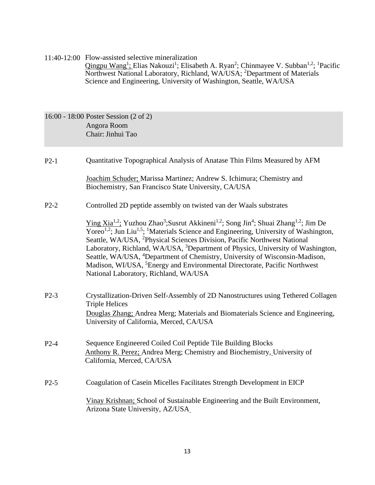11:40-12:00 Flow-assisted selective mineralization Qingpu Wang<sup>1</sup>; Elias Nakouzi<sup>1</sup>; Elisabeth A. Ryan<sup>2</sup>; Chinmayee V. Subban<sup>1,2</sup>; <sup>1</sup>Pacific Northwest National Laboratory, Richland, WA/USA; <sup>2</sup>Department of Materials Science and Engineering, University of Washington, Seattle, WA/USA

16:00 - 18:00 Poster Session (2 of 2) Angora Room Chair: Jinhui Tao

P2-1 Quantitative Topographical Analysis of Anatase Thin Films Measured by AFM

Joachim Schuder; Marissa Martinez; Andrew S. Ichimura; Chemistry and Biochemistry, San Francisco State University, CA/USA

P2-2 Controlled 2D peptide assembly on twisted van der Waals substrates

Ying Xia<sup>1,2</sup>; Yuzhou Zhao<sup>3</sup>;Susrut Akkineni<sup>1,2</sup>; Song Jin<sup>4</sup>; Shuai Zhang<sup>1,2</sup>; Jim De Yoreo<sup>1,2</sup>; Jun Liu<sup>1,5</sup>; <sup>1</sup>Materials Science and Engineering, University of Washington, Seattle, WA/USA, <sup>2</sup>Physical Sciences Division, Pacific Northwest National Laboratory, Richland, WA/USA, <sup>3</sup>Department of Physics, University of Washington, Seattle, WA/USA, <sup>4</sup>Department of Chemistry, University of Wisconsin-Madison, Madison, WI/USA, <sup>5</sup>Energy and Environmental Directorate, Pacific Northwest National Laboratory, Richland, WA/USA

- P2-3 Crystallization-Driven Self-Assembly of 2D Nanostructures using Tethered Collagen Triple Helices Douglas Zhang; Andrea Merg; Materials and Biomaterials Science and Engineering, University of California, Merced, CA/USA
- P2-4 Sequence Engineered Coiled Coil Peptide Tile Building Blocks Anthony R. Perez; Andrea Merg; Chemistry and Biochemistry, University of California, Merced, CA/USA
- P2-5 Coagulation of Casein Micelles Facilitates Strength Development in EICP

Vinay Krishnan; School of Sustainable Engineering and the Built Environment, Arizona State University, AZ/USA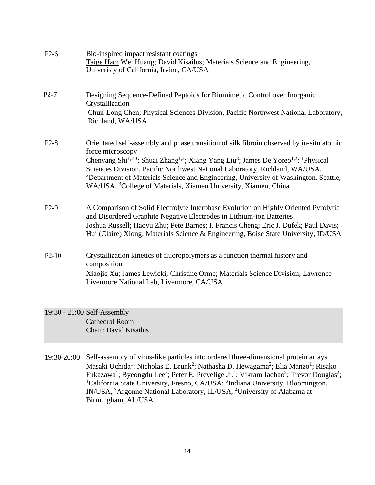| $P2-6$  | Bio-inspired impact resistant coatings<br>Taige Hao; Wei Huang; David Kisailus; Materials Science and Engineering,<br>Univeristy of California, Irvine, CA/USA                                                                                                                                                                                                                                                                                                                                                                 |
|---------|--------------------------------------------------------------------------------------------------------------------------------------------------------------------------------------------------------------------------------------------------------------------------------------------------------------------------------------------------------------------------------------------------------------------------------------------------------------------------------------------------------------------------------|
| $P2-7$  | Designing Sequence-Defined Peptoids for Biomimetic Control over Inorganic<br>Crystallization<br>Chun-Long Chen; Physical Sciences Division, Pacific Northwest National Laboratory,<br>Richland, WA/USA                                                                                                                                                                                                                                                                                                                         |
| $P2-8$  | Orientated self-assembly and phase transition of silk fibroin observed by in-situ atomic<br>force microscopy<br>Chenyang Shi <sup>1,2,3</sup> ; Shuai Zhang <sup>1,2</sup> ; Xiang Yang Liu <sup>3</sup> ; James De Yoreo <sup>1,2</sup> ; <sup>1</sup> Physical<br>Sciences Division, Pacific Northwest National Laboratory, Richland, WA/USA,<br>${}^{2}$ Department of Materials Science and Engineering, University of Washington, Seattle,<br>WA/USA, <sup>3</sup> College of Materials, Xiamen University, Xiamen, China |
| $P2-9$  | A Comparison of Solid Electrolyte Interphase Evolution on Highly Oriented Pyrolytic<br>and Disordered Graphite Negative Electrodes in Lithium-ion Batteries<br>Joshua Russell; Haoyu Zhu; Pete Barnes; I. Francis Cheng; Eric J. Dufek; Paul Davis;<br>Hui (Claire) Xiong; Materials Science & Engineering, Boise State University, ID/USA                                                                                                                                                                                     |
| $P2-10$ | Crystallization kinetics of fluoropolymers as a function thermal history and<br>composition<br>Xiaojie Xu; James Lewicki; Christine Orme; Materials Science Division, Lawrence<br>Livermore National Lab, Livermore, CA/USA                                                                                                                                                                                                                                                                                                    |

19:30 - 21:00 Self-Assembly Cathedral Room Chair: David Kisailus

19:30-20:00 Self-assembly of virus-like particles into ordered three-dimensional protein arrays Masaki Uchida<sup>1</sup>; Nicholas E. Brunk<sup>2</sup>; Nathasha D. Hewagama<sup>2</sup>; Elia Manzo<sup>1</sup>; Risako Fukazawa<sup>1</sup>; Byeongdu Lee<sup>3</sup>; Peter E. Prevelige Jr.<sup>4</sup>; Vikram Jadhao<sup>2</sup>; Trevor Douglas<sup>2</sup>; <sup>1</sup>California State University, Fresno, CA/USA; <sup>2</sup>Indiana University, Bloomington, IN/USA, <sup>3</sup>Argonne National Laboratory, IL/USA, <sup>4</sup>University of Alabama at Birmingham, AL/USA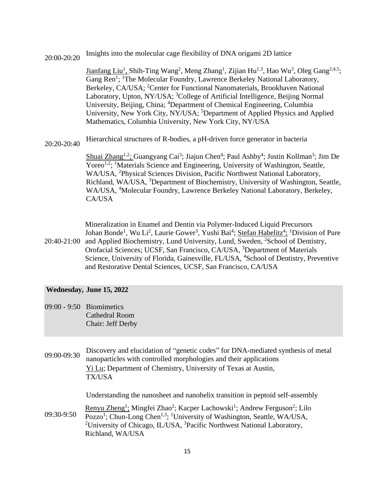### 20:00-20:20 Insights into the molecular cage flexibility of DNA origami 2D lattice

Jianfang Liu<sup>1</sup>, Shih-Ting Wang<sup>2</sup>, Meng Zhang<sup>1</sup>, Zijian Hu<sup>1,3</sup>, Hao Wu<sup>3</sup>, Oleg Gang<sup>2,4,5</sup>; Gang Ren<sup>1</sup>; <sup>1</sup>The Molecular Foundry, Lawrence Berkeley National Laboratory, Berkeley, CA/USA; <sup>2</sup>Center for Functional Nanomaterials, Brookhaven National Laboratory, Upton, NY/USA; <sup>3</sup>College of Artificial Intelligence, Beijing Normal University, Beijing, China; <sup>4</sup>Department of Chemical Engineering, Columbia University, New York City, NY/USA; <sup>5</sup>Department of Applied Physics and Applied Mathematics, Columbia University, New York City, NY/USA

20:20-20:40 Hierarchical structures of R-bodies, a pH-driven force generator in bacteria

Shuai Zhang<sup>1,2</sup>; Guangyang Cai<sup>3</sup>; Jiajun Chen<sup>4</sup>; Paul Ashby<sup>4</sup>; Justin Kollman<sup>3</sup>; Jim De Yoreo<sup>1,2</sup>; <sup>1</sup>Materials Science and Engineering, University of Washington, Seattle, WA/USA, <sup>2</sup>Physical Sciences Division, Pacific Northwest National Laboratory, Richland, WA/USA, <sup>3</sup>Department of Biochemistry, University of Washington, Seattle, WA/USA, <sup>4</sup>Molecular Foundry, Lawrence Berkeley National Laboratory, Berkeley, CA/USA

Mineralization in Enamel and Dentin via Polymer-Induced Liquid Precursors Johan Bonde<sup>1</sup>, Wu Li<sup>2</sup>, Laurie Gower<sup>3</sup>, Yushi Bai<sup>4</sup>; Stefan Habelitz<sup>4</sup>; <sup>1</sup>Division of Pure

20:40-21:00 and Applied Biochemistry, Lund University, Lund, Sweden, <sup>2</sup>School of Dentistry, Orofacial Sciences; UCSF, San Francisco, CA/USA, <sup>3</sup>Department of Materials Science, University of Florida, Gainesville, FL/USA, <sup>4</sup>School of Dentistry, Preventive and Restorative Dental Sciences, UCSF, San Francisco, CA/USA

#### **Wednesday, June 15, 2022**

09:00 - 9:50 Biomimetics Cathedral Room Chair: Jeff Derby

| 09:00-09:30 | Discovery and elucidation of "genetic codes" for DNA-mediated synthesis of metal<br>nanoparticles with controlled morphologies and their applications<br>Yi Lu; Department of Chemistry, University of Texas at Austin,<br><b>TX/USA</b> |
|-------------|------------------------------------------------------------------------------------------------------------------------------------------------------------------------------------------------------------------------------------------|
|             | Understanding the nanosheet and nanohelix transition in peptoid self-assembly                                                                                                                                                            |
|             | Renyu Zheng <sup>1</sup> ; Mingfei Zhao <sup>2</sup> ; Kacper Lachowski <sup>1</sup> ; Andrew Ferguson <sup>2</sup> ; Lilo                                                                                                               |

09:30-9:50 Pozzo<sup>1</sup>; Chun-Long Chen<sup>1,3</sup>; <sup>1</sup>University of Washington, Seattle, WA/USA, <sup>2</sup>University of Chicago, IL/USA,  ${}^{3}$ Pacific Northwest National Laboratory, Richland, WA/USA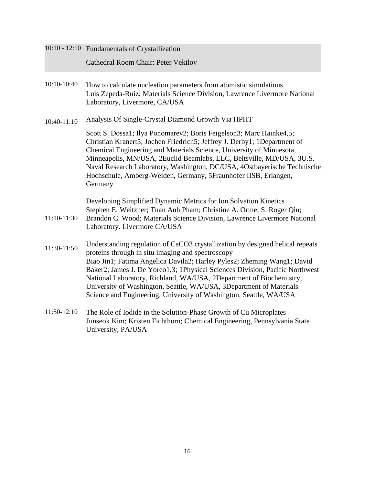|             | 10:10 - 12:10 Fundamentals of Crystallization                                                                                                                                                                                                                                                                                                                                                                                                                                                                     |
|-------------|-------------------------------------------------------------------------------------------------------------------------------------------------------------------------------------------------------------------------------------------------------------------------------------------------------------------------------------------------------------------------------------------------------------------------------------------------------------------------------------------------------------------|
|             | Cathedral Room Chair: Peter Vekilov                                                                                                                                                                                                                                                                                                                                                                                                                                                                               |
| 10:10-10:40 | How to calculate nucleation parameters from atomistic simulations<br>Luis Zepeda-Ruiz; Materials Science Division, Lawrence Livermore National<br>Laboratory, Livermore, CA/USA                                                                                                                                                                                                                                                                                                                                   |
| 10:40-11:10 | Analysis Of Single-Crystal Diamond Growth Via HPHT                                                                                                                                                                                                                                                                                                                                                                                                                                                                |
|             | Scott S. Dossa1; Ilya Ponomarev2; Boris Feigelson3; Marc Hainke4,5;<br>Christian Kranert5; Jochen Friedrich5; Jeffrey J. Derby1; 1Department of<br>Chemical Engineering and Materials Science, University of Minnesota,<br>Minneapolis, MN/USA, 2Euclid Beamlabs, LLC, Beltsville, MD/USA, 3U.S.<br>Naval Research Laboratory, Washington, DC/USA, 4Ostbayerische Technische<br>Hochschule, Amberg-Weiden, Germany, 5Fraunhofer IISB, Erlangen,<br>Germany                                                        |
| 11:10-11:30 | Developing Simplified Dynamic Metrics for Ion Solvation Kinetics<br>Stephen E. Weitzner; Tuan Anh Pham; Christine A. Orme; S. Roger Qiu;<br>Brandon C. Wood; Materials Science Division, Lawrence Livermore National<br>Laboratory. Livermore CA/USA                                                                                                                                                                                                                                                              |
| 11:30-11:50 | Understanding regulation of CaCO3 crystallization by designed helical repeats<br>proteins through in situ imaging and spectroscopy<br>Biao Jin1; Fatima Angelica Davila2; Harley Pyles2; Zheming Wang1; David<br>Baker2; James J. De Yoreo1,3; 1Physical Sciences Division, Pacific Northwest<br>National Laboratory, Richland, WA/USA, 2Department of Biochemistry,<br>University of Washington, Seattle, WA/USA, 3Department of Materials<br>Science and Engineering, University of Washington, Seattle, WA/USA |
| 11:50-12:10 | The Role of Iodide in the Solution-Phase Growth of Cu Microplates<br>Junseok Kim; Kristen Fichthorn; Chemical Engineering, Pennsylvania State                                                                                                                                                                                                                                                                                                                                                                     |

University, PA/USA